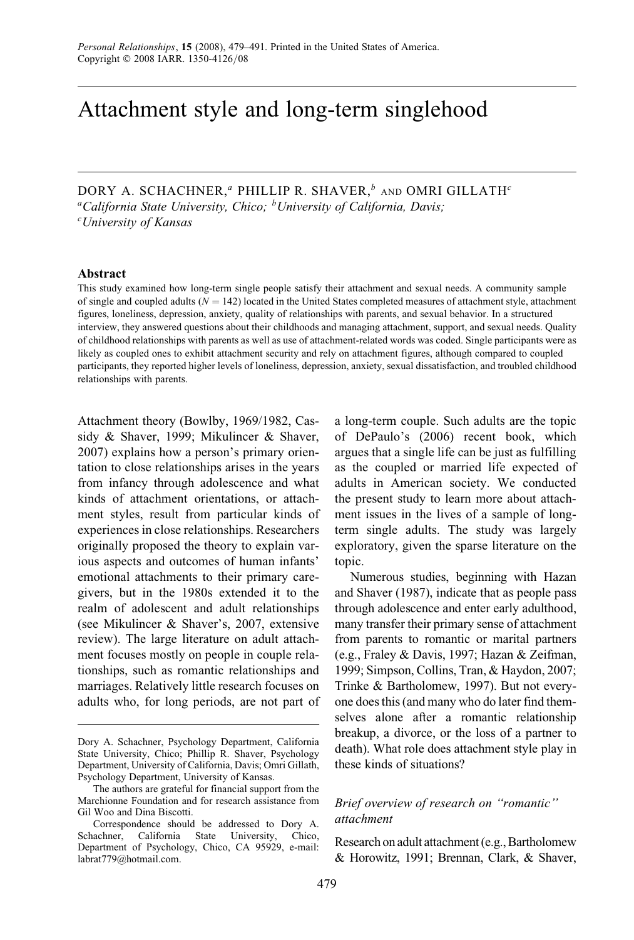# Attachment style and long-term singlehood

DORY A. SCHACHNER,<sup> $a$ </sup> PHILLIP R. SHAVER, $b$  and OMRI GILLATH<sup>c</sup> <sup>a</sup>California State University, Chico; <sup>b</sup>University of California, Davis; c University of Kansas

#### Abstract

This study examined how long-term single people satisfy their attachment and sexual needs. A community sample of single and coupled adults ( $N = 142$ ) located in the United States completed measures of attachment style, attachment figures, loneliness, depression, anxiety, quality of relationships with parents, and sexual behavior. In a structured interview, they answered questions about their childhoods and managing attachment, support, and sexual needs. Quality of childhood relationships with parents as well as use of attachment-related words was coded. Single participants were as likely as coupled ones to exhibit attachment security and rely on attachment figures, although compared to coupled participants, they reported higher levels of loneliness, depression, anxiety, sexual dissatisfaction, and troubled childhood relationships with parents.

Attachment theory (Bowlby, 1969/1982, Cassidy & Shaver, 1999; Mikulincer & Shaver, 2007) explains how a person's primary orientation to close relationships arises in the years from infancy through adolescence and what kinds of attachment orientations, or attachment styles, result from particular kinds of experiences in close relationships. Researchers originally proposed the theory to explain various aspects and outcomes of human infants' emotional attachments to their primary caregivers, but in the 1980s extended it to the realm of adolescent and adult relationships (see Mikulincer & Shaver's, 2007, extensive review). The large literature on adult attachment focuses mostly on people in couple relationships, such as romantic relationships and marriages. Relatively little research focuses on adults who, for long periods, are not part of a long-term couple. Such adults are the topic of DePaulo's (2006) recent book, which argues that a single life can be just as fulfilling as the coupled or married life expected of adults in American society. We conducted the present study to learn more about attachment issues in the lives of a sample of longterm single adults. The study was largely exploratory, given the sparse literature on the topic.

Numerous studies, beginning with Hazan and Shaver (1987), indicate that as people pass through adolescence and enter early adulthood, many transfer their primary sense of attachment from parents to romantic or marital partners (e.g., Fraley & Davis, 1997; Hazan & Zeifman, 1999; Simpson, Collins, Tran, & Haydon, 2007; Trinke & Bartholomew, 1997). But not everyone does this (and many who do later find themselves alone after a romantic relationship breakup, a divorce, or the loss of a partner to death). What role does attachment style play in these kinds of situations?

# Brief overview of research on ''romantic'' attachment

Research on adult attachment (e.g., Bartholomew & Horowitz, 1991; Brennan, Clark, & Shaver,

Dory A. Schachner, Psychology Department, California State University, Chico; Phillip R. Shaver, Psychology Department, University of California, Davis; Omri Gillath, Psychology Department, University of Kansas.

The authors are grateful for financial support from the Marchionne Foundation and for research assistance from Gil Woo and Dina Biscotti.

Correspondence should be addressed to Dory A. Schachner, California State University, Chico, Department of Psychology, Chico, CA 95929, e-mail: labrat779@hotmail.com.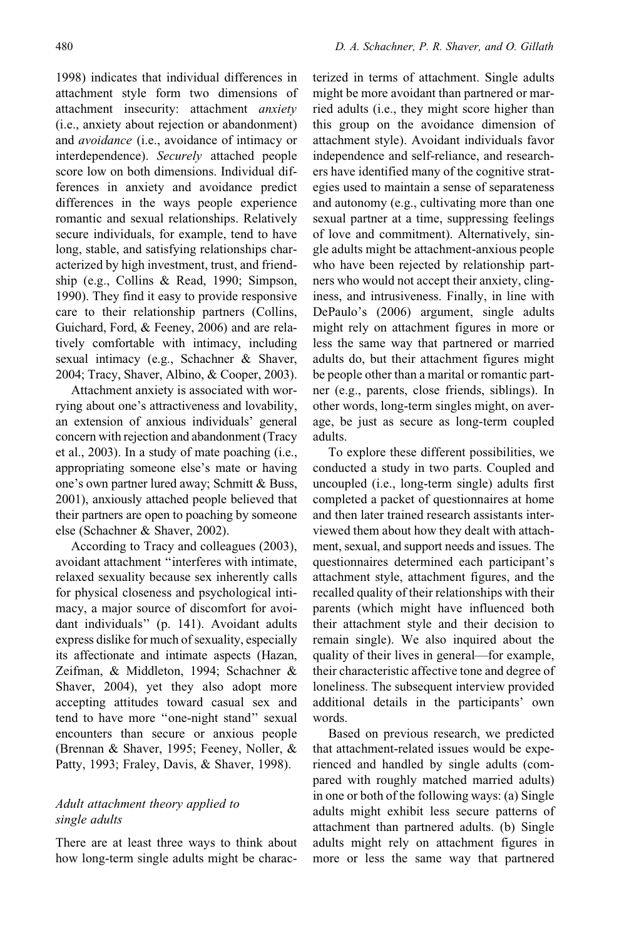480 D. A. Schachner, P. R. Shaver, and O. Gillath

1998) indicates that individual differences in attachment style form two dimensions of attachment insecurity: attachment anxiety (i.e., anxiety about rejection or abandonment) and avoidance (i.e., avoidance of intimacy or interdependence). Securely attached people score low on both dimensions. Individual differences in anxiety and avoidance predict differences in the ways people experience romantic and sexual relationships. Relatively secure individuals, for example, tend to have long, stable, and satisfying relationships characterized by high investment, trust, and friendship (e.g., Collins & Read, 1990; Simpson, 1990). They find it easy to provide responsive care to their relationship partners (Collins, Guichard, Ford, & Feeney, 2006) and are relatively comfortable with intimacy, including sexual intimacy (e.g., Schachner & Shaver, 2004; Tracy, Shaver, Albino, & Cooper, 2003).

Attachment anxiety is associated with worrying about one's attractiveness and lovability, an extension of anxious individuals' general concern with rejection and abandonment (Tracy et al., 2003). In a study of mate poaching (i.e., appropriating someone else's mate or having one's own partner lured away; Schmitt & Buss, 2001), anxiously attached people believed that their partners are open to poaching by someone else (Schachner & Shaver, 2002).

According to Tracy and colleagues (2003), avoidant attachment ''interferes with intimate, relaxed sexuality because sex inherently calls for physical closeness and psychological intimacy, a major source of discomfort for avoidant individuals'' (p. 141). Avoidant adults express dislike for much of sexuality, especially its affectionate and intimate aspects (Hazan, Zeifman, & Middleton, 1994; Schachner & Shaver, 2004), yet they also adopt more accepting attitudes toward casual sex and tend to have more ''one-night stand'' sexual encounters than secure or anxious people (Brennan & Shaver, 1995; Feeney, Noller, & Patty, 1993; Fraley, Davis, & Shaver, 1998).

# Adult attachment theory applied to single adults

There are at least three ways to think about how long-term single adults might be characterized in terms of attachment. Single adults might be more avoidant than partnered or married adults (i.e., they might score higher than this group on the avoidance dimension of attachment style). Avoidant individuals favor independence and self-reliance, and researchers have identified many of the cognitive strategies used to maintain a sense of separateness and autonomy (e.g., cultivating more than one sexual partner at a time, suppressing feelings of love and commitment). Alternatively, single adults might be attachment-anxious people who have been rejected by relationship partners who would not accept their anxiety, clinginess, and intrusiveness. Finally, in line with DePaulo's (2006) argument, single adults might rely on attachment figures in more or less the same way that partnered or married adults do, but their attachment figures might be people other than a marital or romantic partner (e.g., parents, close friends, siblings). In other words, long-term singles might, on average, be just as secure as long-term coupled adults.

To explore these different possibilities, we conducted a study in two parts. Coupled and uncoupled (i.e., long-term single) adults first completed a packet of questionnaires at home and then later trained research assistants interviewed them about how they dealt with attachment, sexual, and support needs and issues. The questionnaires determined each participant's attachment style, attachment figures, and the recalled quality of their relationships with their parents (which might have influenced both their attachment style and their decision to remain single). We also inquired about the quality of their lives in general—for example, their characteristic affective tone and degree of loneliness. The subsequent interview provided additional details in the participants' own words.

Based on previous research, we predicted that attachment-related issues would be experienced and handled by single adults (compared with roughly matched married adults) in one or both of the following ways: (a) Single adults might exhibit less secure patterns of attachment than partnered adults. (b) Single adults might rely on attachment figures in more or less the same way that partnered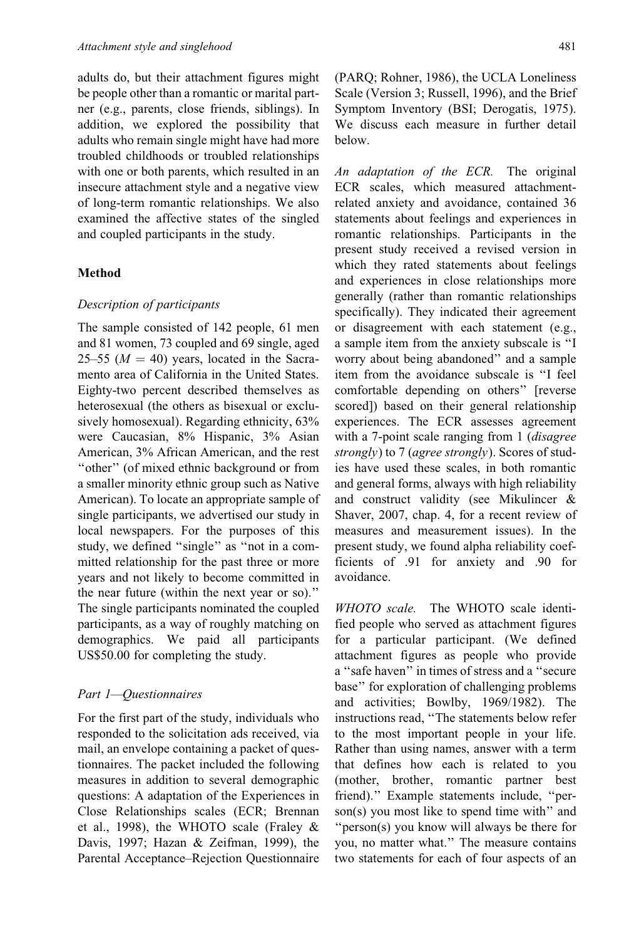adults do, but their attachment figures might be people other than a romantic or marital partner (e.g., parents, close friends, siblings). In addition, we explored the possibility that adults who remain single might have had more troubled childhoods or troubled relationships with one or both parents, which resulted in an insecure attachment style and a negative view of long-term romantic relationships. We also examined the affective states of the singled and coupled participants in the study.

## Method

### Description of participants

The sample consisted of 142 people, 61 men and 81 women, 73 coupled and 69 single, aged 25–55 ( $M = 40$ ) years, located in the Sacramento area of California in the United States. Eighty-two percent described themselves as heterosexual (the others as bisexual or exclusively homosexual). Regarding ethnicity, 63% were Caucasian, 8% Hispanic, 3% Asian American, 3% African American, and the rest ''other'' (of mixed ethnic background or from a smaller minority ethnic group such as Native American). To locate an appropriate sample of single participants, we advertised our study in local newspapers. For the purposes of this study, we defined "single" as "not in a committed relationship for the past three or more years and not likely to become committed in the near future (within the next year or so).'' The single participants nominated the coupled participants, as a way of roughly matching on demographics. We paid all participants US\$50.00 for completing the study.

## Part 1—Questionnaires

For the first part of the study, individuals who responded to the solicitation ads received, via mail, an envelope containing a packet of questionnaires. The packet included the following measures in addition to several demographic questions: A adaptation of the Experiences in Close Relationships scales (ECR; Brennan et al., 1998), the WHOTO scale (Fraley & Davis, 1997; Hazan & Zeifman, 1999), the Parental Acceptance–Rejection Questionnaire

(PARQ; Rohner, 1986), the UCLA Loneliness Scale (Version 3; Russell, 1996), and the Brief Symptom Inventory (BSI; Derogatis, 1975). We discuss each measure in further detail below.

An adaptation of the ECR. The original ECR scales, which measured attachmentrelated anxiety and avoidance, contained 36 statements about feelings and experiences in romantic relationships. Participants in the present study received a revised version in which they rated statements about feelings and experiences in close relationships more generally (rather than romantic relationships specifically). They indicated their agreement or disagreement with each statement (e.g., a sample item from the anxiety subscale is ''I worry about being abandoned'' and a sample item from the avoidance subscale is ''I feel comfortable depending on others'' [reverse scored]) based on their general relationship experiences. The ECR assesses agreement with a 7-point scale ranging from 1 *(disagree*) strongly) to 7 (agree strongly). Scores of studies have used these scales, in both romantic and general forms, always with high reliability and construct validity (see Mikulincer & Shaver, 2007, chap. 4, for a recent review of measures and measurement issues). In the present study, we found alpha reliability coefficients of .91 for anxiety and .90 for avoidance.

WHOTO scale. The WHOTO scale identified people who served as attachment figures for a particular participant. (We defined attachment figures as people who provide a ''safe haven'' in times of stress and a ''secure base'' for exploration of challenging problems and activities; Bowlby, 1969/1982). The instructions read, ''The statements below refer to the most important people in your life. Rather than using names, answer with a term that defines how each is related to you (mother, brother, romantic partner best friend).'' Example statements include, ''person(s) you most like to spend time with'' and ''person(s) you know will always be there for you, no matter what.'' The measure contains two statements for each of four aspects of an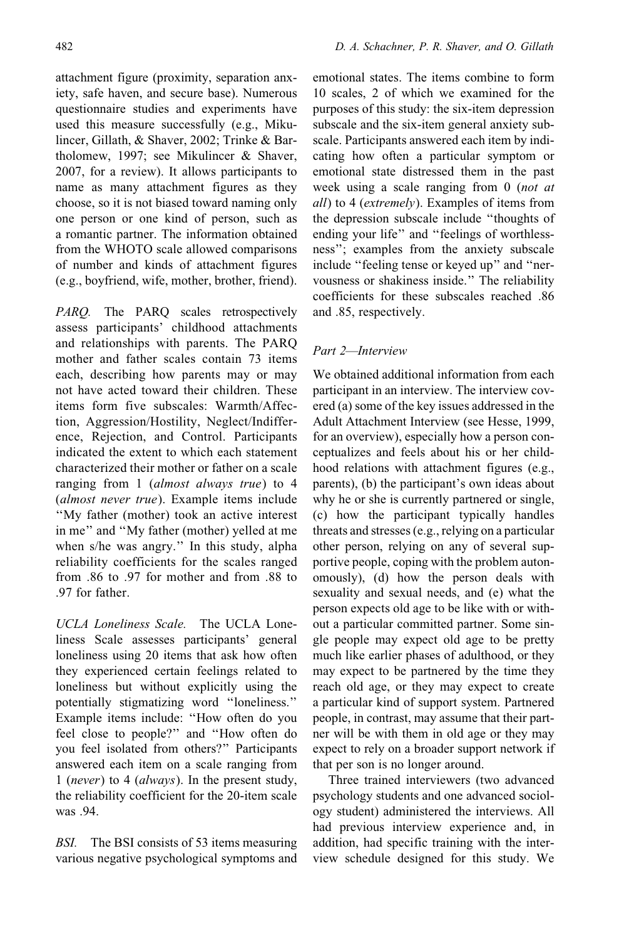attachment figure (proximity, separation anxiety, safe haven, and secure base). Numerous questionnaire studies and experiments have used this measure successfully (e.g., Mikulincer, Gillath, & Shaver, 2002; Trinke & Bartholomew, 1997; see Mikulincer & Shaver, 2007, for a review). It allows participants to name as many attachment figures as they choose, so it is not biased toward naming only one person or one kind of person, such as a romantic partner. The information obtained from the WHOTO scale allowed comparisons of number and kinds of attachment figures (e.g., boyfriend, wife, mother, brother, friend).

PARQ. The PARQ scales retrospectively assess participants' childhood attachments and relationships with parents. The PARQ mother and father scales contain 73 items each, describing how parents may or may not have acted toward their children. These items form five subscales: Warmth/Affection, Aggression/Hostility, Neglect/Indifference, Rejection, and Control. Participants indicated the extent to which each statement characterized their mother or father on a scale ranging from 1 (almost always true) to 4 (almost never true). Example items include ''My father (mother) took an active interest in me'' and ''My father (mother) yelled at me when s/he was angry.'' In this study, alpha reliability coefficients for the scales ranged from .86 to .97 for mother and from .88 to .97 for father.

UCLA Loneliness Scale. The UCLA Loneliness Scale assesses participants' general loneliness using 20 items that ask how often they experienced certain feelings related to loneliness but without explicitly using the potentially stigmatizing word ''loneliness.'' Example items include: ''How often do you feel close to people?'' and ''How often do you feel isolated from others?'' Participants answered each item on a scale ranging from 1 (never) to 4 (always). In the present study, the reliability coefficient for the 20-item scale was .94.

BSI. The BSI consists of 53 items measuring various negative psychological symptoms and emotional states. The items combine to form 10 scales, 2 of which we examined for the purposes of this study: the six-item depression subscale and the six-item general anxiety subscale. Participants answered each item by indicating how often a particular symptom or emotional state distressed them in the past week using a scale ranging from 0 *(not at*) all) to 4 (extremely). Examples of items from the depression subscale include ''thoughts of ending your life'' and ''feelings of worthlessness''; examples from the anxiety subscale include ''feeling tense or keyed up'' and ''nervousness or shakiness inside.'' The reliability coefficients for these subscales reached .86 and .85, respectively.

# Part 2—Interview

We obtained additional information from each participant in an interview. The interview covered (a) some of the key issues addressed in the Adult Attachment Interview (see Hesse, 1999, for an overview), especially how a person conceptualizes and feels about his or her childhood relations with attachment figures (e.g., parents), (b) the participant's own ideas about why he or she is currently partnered or single, (c) how the participant typically handles threats and stresses (e.g., relying on a particular other person, relying on any of several supportive people, coping with the problem autonomously), (d) how the person deals with sexuality and sexual needs, and (e) what the person expects old age to be like with or without a particular committed partner. Some single people may expect old age to be pretty much like earlier phases of adulthood, or they may expect to be partnered by the time they reach old age, or they may expect to create a particular kind of support system. Partnered people, in contrast, may assume that their partner will be with them in old age or they may expect to rely on a broader support network if that per son is no longer around.

Three trained interviewers (two advanced psychology students and one advanced sociology student) administered the interviews. All had previous interview experience and, in addition, had specific training with the interview schedule designed for this study. We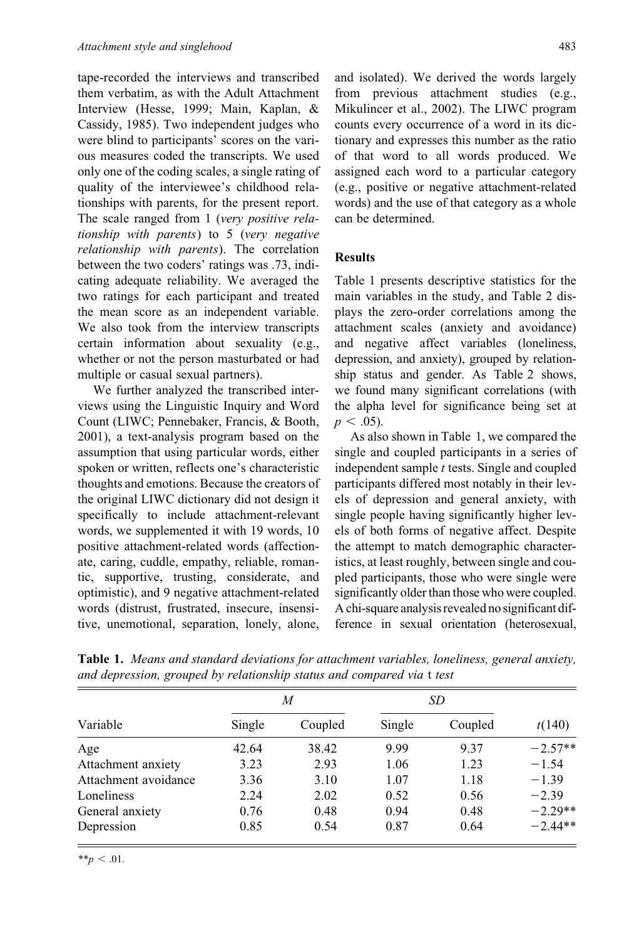tape-recorded the interviews and transcribed them verbatim, as with the Adult Attachment Interview (Hesse, 1999; Main, Kaplan, & Cassidy, 1985). Two independent judges who were blind to participants' scores on the various measures coded the transcripts. We used only one of the coding scales, a single rating of quality of the interviewee's childhood relationships with parents, for the present report. The scale ranged from 1 (very positive relationship with parents) to 5 (very negative relationship with parents). The correlation between the two coders' ratings was .73, indicating adequate reliability. We averaged the two ratings for each participant and treated the mean score as an independent variable. We also took from the interview transcripts certain information about sexuality (e.g., whether or not the person masturbated or had multiple or casual sexual partners).

We further analyzed the transcribed interviews using the Linguistic Inquiry and Word Count (LIWC; Pennebaker, Francis, & Booth, 2001), a text-analysis program based on the assumption that using particular words, either spoken or written, reflects one's characteristic thoughts and emotions. Because the creators of the original LIWC dictionary did not design it specifically to include attachment-relevant words, we supplemented it with 19 words, 10 positive attachment-related words (affectionate, caring, cuddle, empathy, reliable, romantic, supportive, trusting, considerate, and optimistic), and 9 negative attachment-related words (distrust, frustrated, insecure, insensitive, unemotional, separation, lonely, alone, and isolated). We derived the words largely from previous attachment studies (e.g., Mikulincer et al., 2002). The LIWC program counts every occurrence of a word in its dictionary and expresses this number as the ratio of that word to all words produced. We assigned each word to a particular category (e.g., positive or negative attachment-related words) and the use of that category as a whole can be determined.

# **Results**

Table 1 presents descriptive statistics for the main variables in the study, and Table 2 displays the zero-order correlations among the attachment scales (anxiety and avoidance) and negative affect variables (loneliness, depression, and anxiety), grouped by relationship status and gender. As Table 2 shows, we found many significant correlations (with the alpha level for significance being set at  $p < .05$ ).

As also shown in Table 1, we compared the single and coupled participants in a series of independent sample  $t$  tests. Single and coupled participants differed most notably in their levels of depression and general anxiety, with single people having significantly higher levels of both forms of negative affect. Despite the attempt to match demographic characteristics, at least roughly, between single and coupled participants, those who were single were significantly older than those who were coupled. A chi-square analysis revealed no significant difference in sexual orientation (heterosexual,

|                      |        | M       | <i>SD</i> |         |           |
|----------------------|--------|---------|-----------|---------|-----------|
| Variable             | Single | Coupled | Single    | Coupled | t(140)    |
| Age                  | 42.64  | 38.42   | 9.99      | 9.37    | $-2.57**$ |
| Attachment anxiety   | 3.23   | 2.93    | 1.06      | 1.23    | $-1.54$   |
| Attachment avoidance | 3.36   | 3.10    | 1.07      | 1.18    | $-1.39$   |
| Loneliness           | 2.24   | 2.02    | 0.52      | 0.56    | $-2.39$   |
| General anxiety      | 0.76   | 0.48    | 0.94      | 0.48    | $-2.29**$ |
| Depression           | 0.85   | 0.54    | 0.87      | 0.64    | $-2.44**$ |

Table 1. Means and standard deviations for attachment variables, loneliness, general anxiety, and depression, grouped by relationship status and compared via t test

 $*_{p} < .01$ .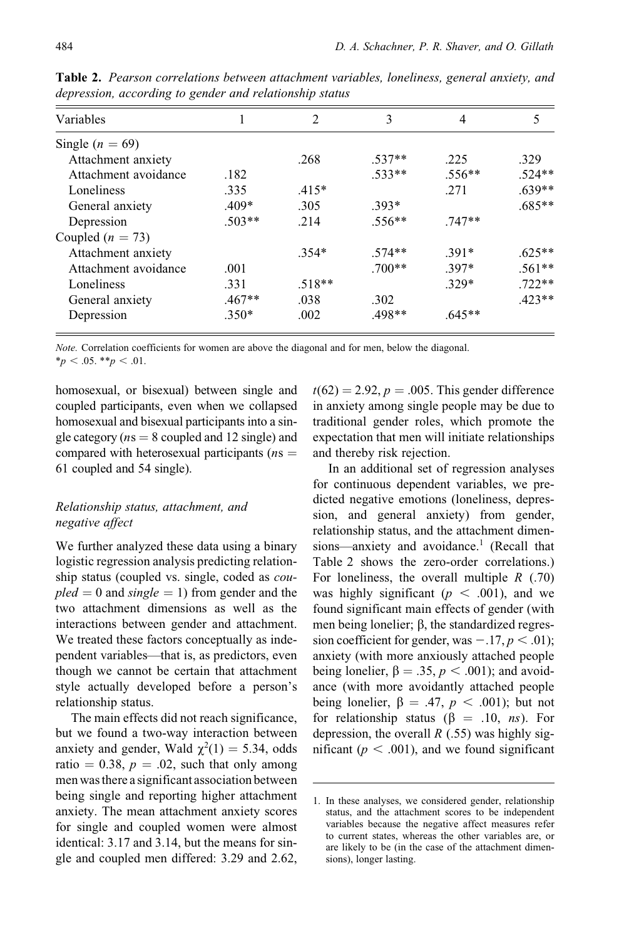| Variables            |          | 2        | 3        | 4        | 5        |
|----------------------|----------|----------|----------|----------|----------|
| Single ( $n = 69$ )  |          |          |          |          |          |
| Attachment anxiety   |          | .268     | $.537**$ | .225     | .329     |
| Attachment avoidance | .182     |          | $.533**$ | $.556**$ | $.524**$ |
| Loneliness           | .335     | $.415*$  |          | .271     | $.639**$ |
| General anxiety      | $.409*$  | .305     | $.393*$  |          | $.685**$ |
| Depression           | $.503**$ | .214     | $.556**$ | $.747**$ |          |
| Coupled ( $n = 73$ ) |          |          |          |          |          |
| Attachment anxiety   |          | $.354*$  | $.574**$ | $.391*$  | $.625**$ |
| Attachment avoidance | .001     |          | $.700**$ | $.397*$  | $.561**$ |
| Loneliness           | .331     | $.518**$ |          | $.329*$  | $.722**$ |
| General anxiety      | $.467**$ | .038     | .302     |          | $.423**$ |
| Depression           | $.350*$  | .002     | $.498**$ | $.645**$ |          |

Table 2. Pearson correlations between attachment variables, loneliness, general anxiety, and depression, according to gender and relationship status

Note. Correlation coefficients for women are above the diagonal and for men, below the diagonal.  $*_{p}$  < .05.  $*_{p}$  < .01.

homosexual, or bisexual) between single and coupled participants, even when we collapsed homosexual and bisexual participants into a single category ( $ns = 8$  coupled and 12 single) and compared with heterosexual participants ( $ns =$ 61 coupled and 54 single).

# Relationship status, attachment, and negative affect

We further analyzed these data using a binary logistic regression analysis predicting relationship status (coupled vs. single, coded as cou $pled = 0$  and single = 1) from gender and the two attachment dimensions as well as the interactions between gender and attachment. We treated these factors conceptually as independent variables—that is, as predictors, even though we cannot be certain that attachment style actually developed before a person's relationship status.

The main effects did not reach significance, but we found a two-way interaction between anxiety and gender, Wald  $\chi^2(1) = 5.34$ , odds ratio  $= 0.38$ ,  $p = .02$ , such that only among men wasthere a significant association between being single and reporting higher attachment anxiety. The mean attachment anxiety scores for single and coupled women were almost identical: 3.17 and 3.14, but the means for single and coupled men differed: 3.29 and 2.62,  $t(62) = 2.92$ ,  $p = .005$ . This gender difference in anxiety among single people may be due to traditional gender roles, which promote the expectation that men will initiate relationships and thereby risk rejection.

In an additional set of regression analyses for continuous dependent variables, we predicted negative emotions (loneliness, depression, and general anxiety) from gender, relationship status, and the attachment dimensions—anxiety and avoidance.<sup>1</sup> (Recall that Table 2 shows the zero-order correlations.) For loneliness, the overall multiple  $R(0.70)$ was highly significant ( $p < .001$ ), and we found significant main effects of gender (with men being lonelier;  $\beta$ , the standardized regression coefficient for gender, was  $-.17, p < .01$ ); anxiety (with more anxiously attached people being lonelier,  $\beta = .35$ ,  $p < .001$ ); and avoidance (with more avoidantly attached people being lonelier,  $\beta = .47$ ,  $p < .001$ ); but not for relationship status ( $\beta = .10, ns$ ). For depression, the overall  $R$  (.55) was highly significant ( $p < .001$ ), and we found significant

<sup>1.</sup> In these analyses, we considered gender, relationship status, and the attachment scores to be independent variables because the negative affect measures refer to current states, whereas the other variables are, or are likely to be (in the case of the attachment dimensions), longer lasting.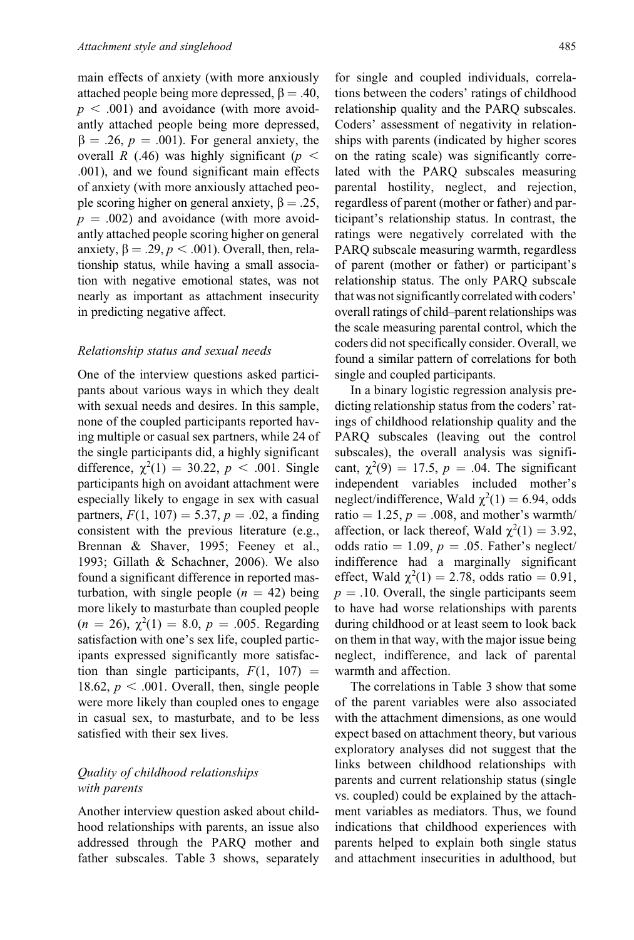main effects of anxiety (with more anxiously attached people being more depressed,  $\beta = .40$ ,  $p < .001$ ) and avoidance (with more avoidantly attached people being more depressed,  $\beta = .26$ ,  $p = .001$ ). For general anxiety, the overall R (.46) was highly significant ( $p <$ .001), and we found significant main effects of anxiety (with more anxiously attached people scoring higher on general anxiety,  $\beta = .25$ ,  $p = .002$ ) and avoidance (with more avoidantly attached people scoring higher on general anxiety,  $\beta = .29$ ,  $p < .001$ ). Overall, then, relationship status, while having a small association with negative emotional states, was not nearly as important as attachment insecurity in predicting negative affect.

#### Relationship status and sexual needs

One of the interview questions asked participants about various ways in which they dealt with sexual needs and desires. In this sample, none of the coupled participants reported having multiple or casual sex partners, while 24 of the single participants did, a highly significant difference,  $\chi^2(1) = 30.22, p < .001$ . Single participants high on avoidant attachment were especially likely to engage in sex with casual partners,  $F(1, 107) = 5.37, p = .02$ , a finding consistent with the previous literature (e.g., Brennan & Shaver, 1995; Feeney et al., 1993; Gillath & Schachner, 2006). We also found a significant difference in reported masturbation, with single people  $(n = 42)$  being more likely to masturbate than coupled people  $(n = 26), \chi^2(1) = 8.0, p = .005$ . Regarding satisfaction with one's sex life, coupled participants expressed significantly more satisfaction than single participants,  $F(1, 107) =$ 18.62,  $p < .001$ . Overall, then, single people were more likely than coupled ones to engage in casual sex, to masturbate, and to be less satisfied with their sex lives.

# Quality of childhood relationships with parents

Another interview question asked about childhood relationships with parents, an issue also addressed through the PARQ mother and father subscales. Table 3 shows, separately for single and coupled individuals, correlations between the coders' ratings of childhood relationship quality and the PARQ subscales. Coders' assessment of negativity in relationships with parents (indicated by higher scores on the rating scale) was significantly correlated with the PARQ subscales measuring parental hostility, neglect, and rejection, regardless of parent (mother or father) and participant's relationship status. In contrast, the ratings were negatively correlated with the PARQ subscale measuring warmth, regardless of parent (mother or father) or participant's relationship status. The only PARQ subscale that was not significantly correlated with coders' overall ratings of child–parent relationships was the scale measuring parental control, which the coders did not specifically consider. Overall, we found a similar pattern of correlations for both single and coupled participants.

In a binary logistic regression analysis predicting relationship status from the coders' ratings of childhood relationship quality and the PARQ subscales (leaving out the control subscales), the overall analysis was significant,  $\chi^2(9) = 17.5$ ,  $p = .04$ . The significant independent variables included mother's neglect/indifference, Wald  $\chi^2(1) = 6.94$ , odds ratio  $= 1.25$ ,  $p = .008$ , and mother's warmth/ affection, or lack thereof, Wald  $\chi^2(1) = 3.92$ , odds ratio  $= 1.09$ ,  $p = .05$ . Father's neglect/ indifference had a marginally significant effect, Wald  $\chi^2(1) = 2.78$ , odds ratio = 0.91,  $p = .10$ . Overall, the single participants seem to have had worse relationships with parents during childhood or at least seem to look back on them in that way, with the major issue being neglect, indifference, and lack of parental warmth and affection.

The correlations in Table 3 show that some of the parent variables were also associated with the attachment dimensions, as one would expect based on attachment theory, but various exploratory analyses did not suggest that the links between childhood relationships with parents and current relationship status (single vs. coupled) could be explained by the attachment variables as mediators. Thus, we found indications that childhood experiences with parents helped to explain both single status and attachment insecurities in adulthood, but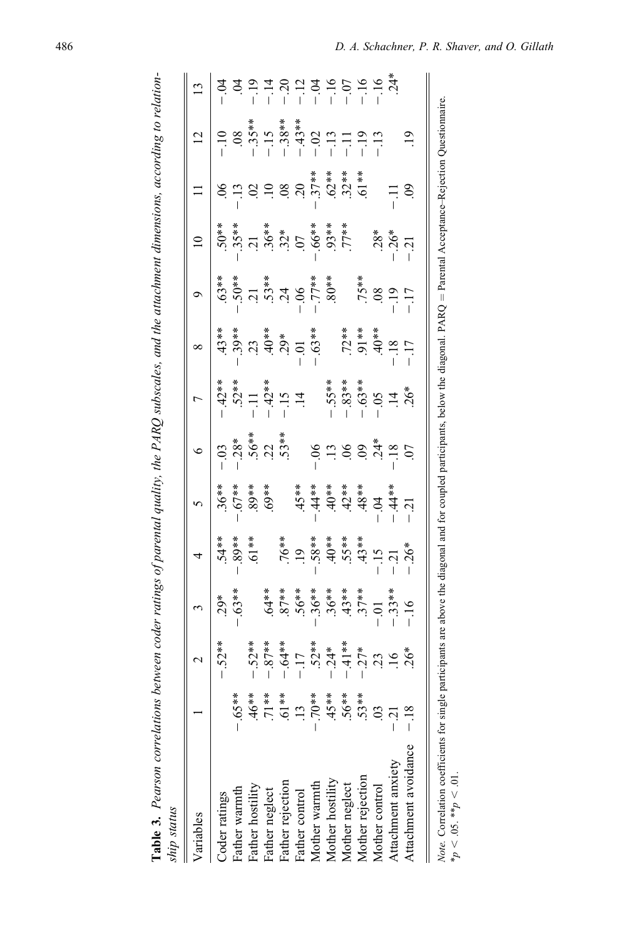| ship status          |                |                                                                                                                                                                                  |  |                                                                  |  |  |  |  |
|----------------------|----------------|----------------------------------------------------------------------------------------------------------------------------------------------------------------------------------|--|------------------------------------------------------------------|--|--|--|--|
| Variables            |                | 2                                                                                                                                                                                |  |                                                                  |  |  |  |  |
| Coder ratings        |                |                                                                                                                                                                                  |  | $\begin{array}{r} 5 \\ 5 \\ 3 \\ -6 \\ -6 \\ \hline \end{array}$ |  |  |  |  |
| Father warmth        | $-.65**$       |                                                                                                                                                                                  |  |                                                                  |  |  |  |  |
| Father hostility     | $46***$        |                                                                                                                                                                                  |  |                                                                  |  |  |  |  |
| Father neglect       | $71**$         |                                                                                                                                                                                  |  |                                                                  |  |  |  |  |
| Father rejection     | 61**           |                                                                                                                                                                                  |  |                                                                  |  |  |  |  |
| Father control       | $\frac{13}{2}$ |                                                                                                                                                                                  |  |                                                                  |  |  |  |  |
| Mother warmth        | $**07$         |                                                                                                                                                                                  |  |                                                                  |  |  |  |  |
| Mother hostility     | $45**$         |                                                                                                                                                                                  |  |                                                                  |  |  |  |  |
| Mother neglect       | $.56***$       |                                                                                                                                                                                  |  |                                                                  |  |  |  |  |
| Mother rejection     | 53**           | $-52$<br>$-52$<br>$-52$<br>$-52$<br>$-17$<br>$-17$<br>$-17$<br>$-17$<br>$-17$<br>$-17$<br>$-17$<br>$-17$<br>$-18$<br>$-17$<br>$-19$<br>$-19$<br>$-19$<br>$-19$<br>$-19$<br>$-19$ |  |                                                                  |  |  |  |  |
| Mother control       | පි             |                                                                                                                                                                                  |  |                                                                  |  |  |  |  |
| Attachment anxiety   |                |                                                                                                                                                                                  |  |                                                                  |  |  |  |  |
| Attachment avoidance |                |                                                                                                                                                                                  |  |                                                                  |  |  |  |  |

Table 3. Pearson correlations between coder ratings of parental quality, the PARQ subscales, and the attachment dimensions, according to relation-

Table 3. Pearson correlations between coder ratings of parental quality, the PARQ subscales, and the attachment dimensions, according to relation-

|                          | ׇ֠֕֡                                                                                                                      |   |
|--------------------------|---------------------------------------------------------------------------------------------------------------------------|---|
|                          | ţ<br>$\vert$<br>$\overline{\phantom{a}}$                                                                                  |   |
|                          | i                                                                                                                         |   |
|                          | $\ddot{ }$<br>ׇ֖֚֬֕֓<br>$\frac{1}{2}$<br>į<br>١                                                                           |   |
|                          | ļ<br>I<br>I<br>$\ddot{\phantom{a}}$<br>$\frac{1}{2}$<br>j<br>Ì<br>$\ddot{\phantom{a}}$<br>ļ<br>י<br>י<br>l<br>$-1.1$<br>ł |   |
| $\overline{\phantom{a}}$ | Ï<br>∘<br>í                                                                                                               | ļ |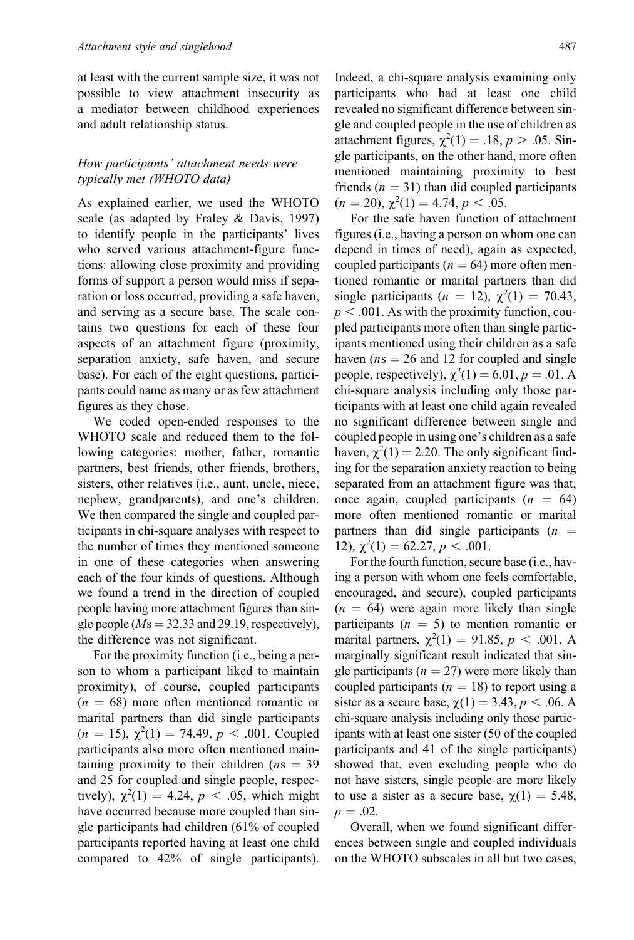at least with the current sample size, it was not possible to view attachment insecurity as a mediator between childhood experiences and adult relationship status.

# How participants' attachment needs were typically met (WHOTO data)

As explained earlier, we used the WHOTO scale (as adapted by Fraley & Davis, 1997) to identify people in the participants' lives who served various attachment-figure functions: allowing close proximity and providing forms of support a person would miss if separation or loss occurred, providing a safe haven, and serving as a secure base. The scale contains two questions for each of these four aspects of an attachment figure (proximity, separation anxiety, safe haven, and secure base). For each of the eight questions, participants could name as many or as few attachment figures as they chose.

We coded open-ended responses to the WHOTO scale and reduced them to the following categories: mother, father, romantic partners, best friends, other friends, brothers, sisters, other relatives (i.e., aunt, uncle, niece, nephew, grandparents), and one's children. We then compared the single and coupled participants in chi-square analyses with respect to the number of times they mentioned someone in one of these categories when answering each of the four kinds of questions. Although we found a trend in the direction of coupled people having more attachment figures than single people ( $Ms = 32.33$  and 29.19, respectively), the difference was not significant.

For the proximity function (i.e., being a person to whom a participant liked to maintain proximity), of course, coupled participants  $(n = 68)$  more often mentioned romantic or marital partners than did single participants  $(n = 15)$ ,  $\chi^2(1) = 74.49$ ,  $p < .001$ . Coupled participants also more often mentioned maintaining proximity to their children ( $ns = 39$ ) and 25 for coupled and single people, respectively),  $\chi^2(1) = 4.24$ ,  $p < .05$ , which might have occurred because more coupled than single participants had children (61% of coupled participants reported having at least one child compared to 42% of single participants).

Indeed, a chi-square analysis examining only participants who had at least one child revealed no significant difference between single and coupled people in the use of children as attachment figures,  $\chi^2(1) = .18$ ,  $p > .05$ . Single participants, on the other hand, more often mentioned maintaining proximity to best friends ( $n = 31$ ) than did coupled participants  $(n = 20), \chi^2(1) = 4.74, p < .05.$ 

For the safe haven function of attachment figures (i.e., having a person on whom one can depend in times of need), again as expected, coupled participants ( $n = 64$ ) more often mentioned romantic or marital partners than did single participants ( $n = 12$ ),  $\chi^2(1) = 70.43$ ,  $p < .001$ . As with the proximity function, coupled participants more often than single participants mentioned using their children as a safe haven ( $ns = 26$  and 12 for coupled and single people, respectively),  $\chi^2(1) = 6.01, p = .01$ . A chi-square analysis including only those participants with at least one child again revealed no significant difference between single and coupled people in using one's children as a safe haven,  $\chi^2(1) = 2.20$ . The only significant finding for the separation anxiety reaction to being separated from an attachment figure was that, once again, coupled participants  $(n = 64)$ more often mentioned romantic or marital partners than did single participants  $(n =$ 12),  $\chi^2(1) = 62.27, p < .001$ .

For the fourth function, secure base (i.e., having a person with whom one feels comfortable, encouraged, and secure), coupled participants  $(n = 64)$  were again more likely than single participants  $(n = 5)$  to mention romantic or marital partners,  $\chi^2(1) = 91.85, p < .001$ . A marginally significant result indicated that single participants ( $n = 27$ ) were more likely than coupled participants ( $n = 18$ ) to report using a sister as a secure base,  $\chi(1) = 3.43$ ,  $p < .06$ . A chi-square analysis including only those participants with at least one sister (50 of the coupled participants and 41 of the single participants) showed that, even excluding people who do not have sisters, single people are more likely to use a sister as a secure base,  $\chi(1) = 5.48$ ,  $p = .02$ .

Overall, when we found significant differences between single and coupled individuals on the WHOTO subscales in all but two cases,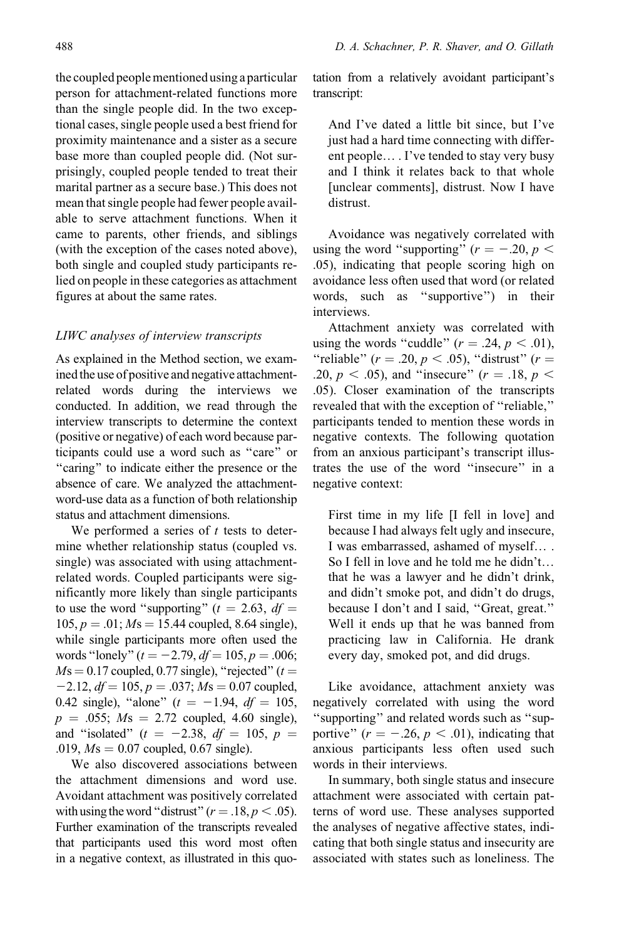the coupled peoplementioned using a particular person for attachment-related functions more than the single people did. In the two exceptional cases, single people used a best friend for proximity maintenance and a sister as a secure base more than coupled people did. (Not surprisingly, coupled people tended to treat their marital partner as a secure base.) This does not mean that single people had fewer people available to serve attachment functions. When it came to parents, other friends, and siblings (with the exception of the cases noted above), both single and coupled study participants relied on people in these categories as attachment figures at about the same rates.

# LIWC analyses of interview transcripts

As explained in the Method section, we examined the use of positive and negative attachmentrelated words during the interviews we conducted. In addition, we read through the interview transcripts to determine the context (positive or negative) of each word because participants could use a word such as ''care'' or ''caring'' to indicate either the presence or the absence of care. We analyzed the attachmentword-use data as a function of both relationship status and attachment dimensions.

We performed a series of  $t$  tests to determine whether relationship status (coupled vs. single) was associated with using attachmentrelated words. Coupled participants were significantly more likely than single participants to use the word "supporting" ( $t = 2.63$ ,  $df =$  $105, p = .01; Ms = 15.44$  coupled, 8.64 single), while single participants more often used the words "lonely" ( $t = -2.79$ ,  $df = 105$ ,  $p = .006$ ;  $Ms = 0.17$  coupled, 0.77 single), "rejected" ( $t =$  $-2.12$ ,  $df = 105$ ,  $p = .037$ ;  $Ms = 0.07$  coupled, 0.42 single), "alone"  $(t = -1.94, df = 105,$  $p = .055$ ;  $Ms = 2.72$  coupled, 4.60 single), and "isolated" ( $t = -2.38$ ,  $df = 105$ ,  $p =$ .019,  $Ms = 0.07$  coupled, 0.67 single).

We also discovered associations between the attachment dimensions and word use. Avoidant attachment was positively correlated with using the word "distrust" ( $r = .18, p < .05$ ). Further examination of the transcripts revealed that participants used this word most often in a negative context, as illustrated in this quotation from a relatively avoidant participant's transcript:

And I've dated a little bit since, but I've just had a hard time connecting with different people. . I've tended to stay very busy and I think it relates back to that whole [unclear comments], distrust. Now I have distrust.

Avoidance was negatively correlated with using the word "supporting" ( $r = -.20, p <$ .05), indicating that people scoring high on avoidance less often used that word (or related words, such as ''supportive'') in their interviews.

Attachment anxiety was correlated with using the words "cuddle"  $(r = .24, p < .01)$ , "reliable" ( $r = .20$ ,  $p < .05$ ), "distrust" ( $r =$ .20,  $p < .05$ ), and "insecure" ( $r = .18$ ,  $p <$ .05). Closer examination of the transcripts revealed that with the exception of ''reliable,'' participants tended to mention these words in negative contexts. The following quotation from an anxious participant's transcript illustrates the use of the word ''insecure'' in a negative context:

First time in my life [I fell in love] and because I had always felt ugly and insecure, I was embarrassed, ashamed of myself.... So I fell in love and he told me he didn't. that he was a lawyer and he didn't drink, and didn't smoke pot, and didn't do drugs, because I don't and I said, ''Great, great.'' Well it ends up that he was banned from practicing law in California. He drank every day, smoked pot, and did drugs.

Like avoidance, attachment anxiety was negatively correlated with using the word ''supporting'' and related words such as ''supportive" ( $r = -.26$ ,  $p < .01$ ), indicating that anxious participants less often used such words in their interviews.

In summary, both single status and insecure attachment were associated with certain patterns of word use. These analyses supported the analyses of negative affective states, indicating that both single status and insecurity are associated with states such as loneliness. The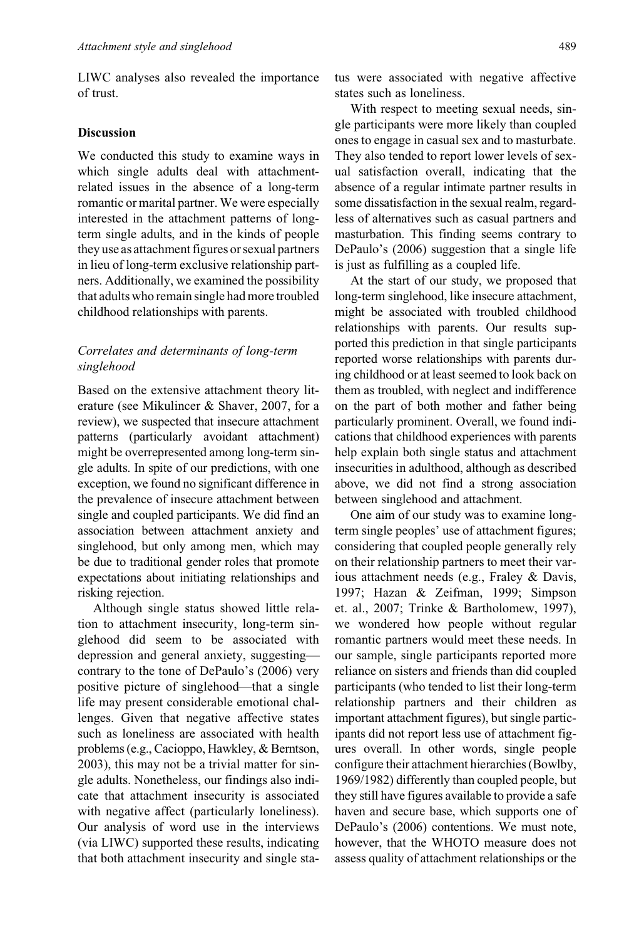LIWC analyses also revealed the importance of trust.

## **Discussion**

We conducted this study to examine ways in which single adults deal with attachmentrelated issues in the absence of a long-term romantic or marital partner. We were especially interested in the attachment patterns of longterm single adults, and in the kinds of people they use as attachment figures or sexual partners in lieu of long-term exclusive relationship partners. Additionally, we examined the possibility that adults who remain single had more troubled childhood relationships with parents.

# Correlates and determinants of long-term singlehood

Based on the extensive attachment theory literature (see Mikulincer & Shaver, 2007, for a review), we suspected that insecure attachment patterns (particularly avoidant attachment) might be overrepresented among long-term single adults. In spite of our predictions, with one exception, we found no significant difference in the prevalence of insecure attachment between single and coupled participants. We did find an association between attachment anxiety and singlehood, but only among men, which may be due to traditional gender roles that promote expectations about initiating relationships and risking rejection.

Although single status showed little relation to attachment insecurity, long-term singlehood did seem to be associated with depression and general anxiety, suggesting contrary to the tone of DePaulo's (2006) very positive picture of singlehood—that a single life may present considerable emotional challenges. Given that negative affective states such as loneliness are associated with health problems (e.g., Cacioppo, Hawkley, & Berntson, 2003), this may not be a trivial matter for single adults. Nonetheless, our findings also indicate that attachment insecurity is associated with negative affect (particularly loneliness). Our analysis of word use in the interviews (via LIWC) supported these results, indicating that both attachment insecurity and single status were associated with negative affective states such as loneliness.

With respect to meeting sexual needs, single participants were more likely than coupled ones to engage in casual sex and to masturbate. They also tended to report lower levels of sexual satisfaction overall, indicating that the absence of a regular intimate partner results in some dissatisfaction in the sexual realm, regardless of alternatives such as casual partners and masturbation. This finding seems contrary to DePaulo's (2006) suggestion that a single life is just as fulfilling as a coupled life.

At the start of our study, we proposed that long-term singlehood, like insecure attachment, might be associated with troubled childhood relationships with parents. Our results supported this prediction in that single participants reported worse relationships with parents during childhood or at least seemed to look back on them as troubled, with neglect and indifference on the part of both mother and father being particularly prominent. Overall, we found indications that childhood experiences with parents help explain both single status and attachment insecurities in adulthood, although as described above, we did not find a strong association between singlehood and attachment.

One aim of our study was to examine longterm single peoples' use of attachment figures; considering that coupled people generally rely on their relationship partners to meet their various attachment needs (e.g., Fraley & Davis, 1997; Hazan & Zeifman, 1999; Simpson et. al., 2007; Trinke & Bartholomew, 1997), we wondered how people without regular romantic partners would meet these needs. In our sample, single participants reported more reliance on sisters and friends than did coupled participants (who tended to list their long-term relationship partners and their children as important attachment figures), but single participants did not report less use of attachment figures overall. In other words, single people configure their attachment hierarchies (Bowlby, 1969/1982) differently than coupled people, but they still have figures available to provide a safe haven and secure base, which supports one of DePaulo's (2006) contentions. We must note, however, that the WHOTO measure does not assess quality of attachment relationships or the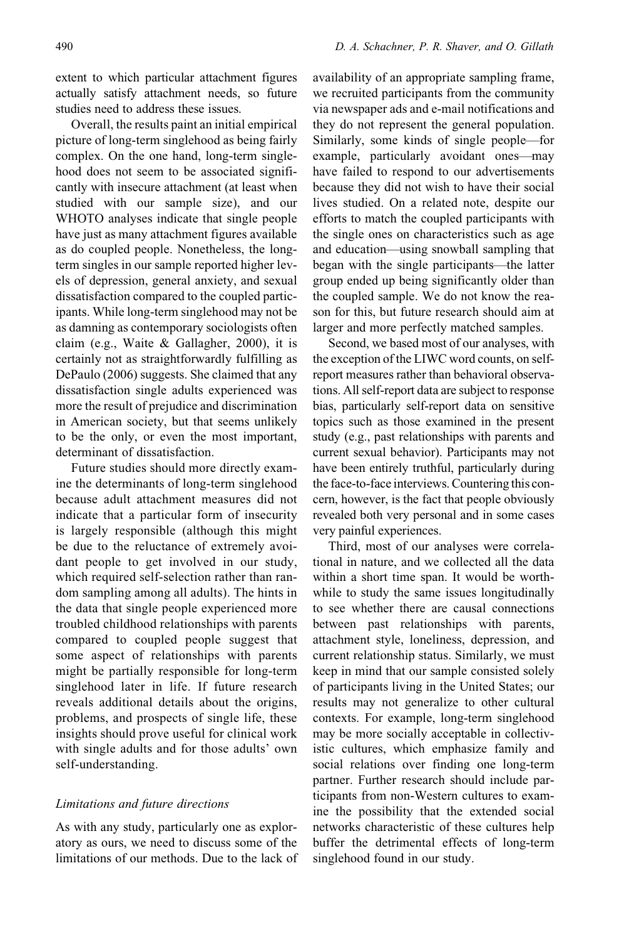extent to which particular attachment figures actually satisfy attachment needs, so future studies need to address these issues.

Overall, the results paint an initial empirical picture of long-term singlehood as being fairly complex. On the one hand, long-term singlehood does not seem to be associated significantly with insecure attachment (at least when studied with our sample size), and our WHOTO analyses indicate that single people have just as many attachment figures available as do coupled people. Nonetheless, the longterm singles in our sample reported higher levels of depression, general anxiety, and sexual dissatisfaction compared to the coupled participants. While long-term singlehood may not be as damning as contemporary sociologists often claim (e.g., Waite & Gallagher, 2000), it is certainly not as straightforwardly fulfilling as DePaulo (2006) suggests. She claimed that any dissatisfaction single adults experienced was more the result of prejudice and discrimination in American society, but that seems unlikely to be the only, or even the most important, determinant of dissatisfaction.

Future studies should more directly examine the determinants of long-term singlehood because adult attachment measures did not indicate that a particular form of insecurity is largely responsible (although this might be due to the reluctance of extremely avoidant people to get involved in our study, which required self-selection rather than random sampling among all adults). The hints in the data that single people experienced more troubled childhood relationships with parents compared to coupled people suggest that some aspect of relationships with parents might be partially responsible for long-term singlehood later in life. If future research reveals additional details about the origins, problems, and prospects of single life, these insights should prove useful for clinical work with single adults and for those adults' own self-understanding.

## Limitations and future directions

As with any study, particularly one as exploratory as ours, we need to discuss some of the limitations of our methods. Due to the lack of availability of an appropriate sampling frame, we recruited participants from the community via newspaper ads and e-mail notifications and they do not represent the general population. Similarly, some kinds of single people—for example, particularly avoidant ones—may have failed to respond to our advertisements because they did not wish to have their social lives studied. On a related note, despite our efforts to match the coupled participants with the single ones on characteristics such as age and education—using snowball sampling that began with the single participants—the latter group ended up being significantly older than the coupled sample. We do not know the reason for this, but future research should aim at larger and more perfectly matched samples.

Second, we based most of our analyses, with the exception of the LIWC word counts, on selfreport measures rather than behavioral observations. All self-report data are subject to response bias, particularly self-report data on sensitive topics such as those examined in the present study (e.g., past relationships with parents and current sexual behavior). Participants may not have been entirely truthful, particularly during the face-to-face interviews. Countering this concern, however, is the fact that people obviously revealed both very personal and in some cases very painful experiences.

Third, most of our analyses were correlational in nature, and we collected all the data within a short time span. It would be worthwhile to study the same issues longitudinally to see whether there are causal connections between past relationships with parents, attachment style, loneliness, depression, and current relationship status. Similarly, we must keep in mind that our sample consisted solely of participants living in the United States; our results may not generalize to other cultural contexts. For example, long-term singlehood may be more socially acceptable in collectivistic cultures, which emphasize family and social relations over finding one long-term partner. Further research should include participants from non-Western cultures to examine the possibility that the extended social networks characteristic of these cultures help buffer the detrimental effects of long-term singlehood found in our study.